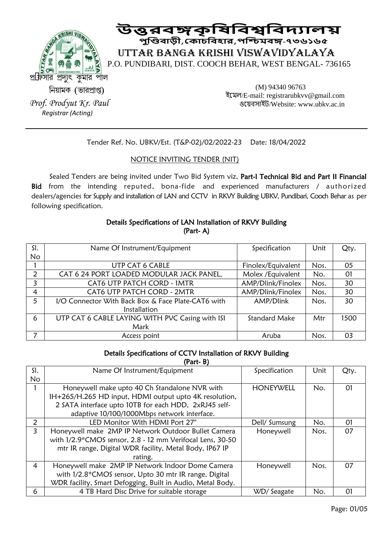

 **উত্তরবঙ্গকৃষিষবশ্বষবদ্যালয় পুণ্ডিবাড়ী**,**ককাচষবহার**,**পণ্ডিমবঙ্গ-৭৩৬১৬৫** UTTAR BANGA KRISHI VISWAVIDYALAYA P.O. PUNDIBARI, DIST. COOCH BEHAR, WEST BENGAL- 736165

নিয়ামক (ভারপ্রাপ্ত) *Prof. Prodyut Kr. Paul Registrar (Acting)* 

(M) 94340 96763 ইমেল/E-mail: registrarubkvv@gmail.com ওম়েবসাইট/Website: www.ubkv.ac.in

Tender Ref. No. UBKV/Est. (T&P-02)/02/2022-23 Date: 18/04/2022

# NOTICE INVITING TENDER (NIT)

Sealed Tenders are being invited under Two Bid System viz, Part-I Technical Bid and Part II Financial Bid from the intending reputed, bona-fide and experienced manufacturers / authorized dealers/agencies for Supply and installation of LAN and CCTV in RKVY Building UBKV, Pundibari, Cooch Behar as per following specification.

## Details Specifications of LAN Installation of RKVY Building (Part- A)

| SI.       | Name Of Instrument/Equipment                       | Specification        | Unit | Qty. |
|-----------|----------------------------------------------------|----------------------|------|------|
| <b>No</b> |                                                    |                      |      |      |
|           | <b>UTP CAT 6 CABLE</b>                             | Finolex/Equivalent   | Nos. | 05   |
| 2         | CAT 6 24 PORT LOADED MODULAR JACK PANEL,           | Molex /Equivalent    | No.  | 01   |
| 3         | CAT6 UTP PATCH CORD - 1MTR                         | AMP/Dlink/Finolex    | Nos. | 30   |
| 4         | CAT6 UTP PATCH CORD - 2MTR                         | AMP/Dlink/Finolex    | Nos. | 30   |
| 5         | I/O Connector With Back Box & Face Plate-CAT6 with | AMP/Dlink            | Nos. | 30   |
|           | Installation                                       |                      |      |      |
| 6         | UTP CAT 6 CABLE LAYING WITH PVC Casing with ISI    | <b>Standard Make</b> | Mtr  | 1500 |
|           | Mark                                               |                      |      |      |
|           | Access point                                       | Aruba                | Nos. | 03   |

### Details Specifications of CCTV Installation of RKVY Building

(Part- B)

| SI. | Name Of Instrument/Equipment                               | Specification    | Unit | Qty.     |
|-----|------------------------------------------------------------|------------------|------|----------|
| No. |                                                            |                  |      |          |
|     | Honeywell make upto 40 Ch Standalone NVR with              | <b>HONEYWELL</b> | No.  | $\Omega$ |
|     | IH+265/H.265 HD input, HDMI output upto 4K resolution,     |                  |      |          |
|     | 2 SATA interface upto 10TB for each HDD, 2xRJ45 self-      |                  |      |          |
|     | adaptive 10/100/1000Mbps network interface.                |                  |      |          |
| 2   | LED Monitor With HDMI Port 27"                             | Dell/ Sumsung    | No.  | 01       |
| 3   | Honeywell make 2MP IP Network Outdoor Bullet Camera        | Honeywell        | Nos. | 07       |
|     | with 1/2.9*CMOS sensor, 2.8 - 12 mm Verifocal Lens, 30-50  |                  |      |          |
|     | mtr IR range, Digital WDR facility, Metal Body, IP67 IP    |                  |      |          |
|     | rating.                                                    |                  |      |          |
| 4   | Honeywell make 2MP IP Network Indoor Dome Camera           | Honeywell        | Nos. | 07       |
|     | with 1/2.8*CMOS sensor, Upto 30 mtr IR range, Digital      |                  |      |          |
|     | WDR facility, Smart Defogging, Built in Audio, Metal Body. |                  |      |          |
| 6   | 4 TB Hard Disc Drive for suitable storage                  | WD/Seagate       | No.  | 01       |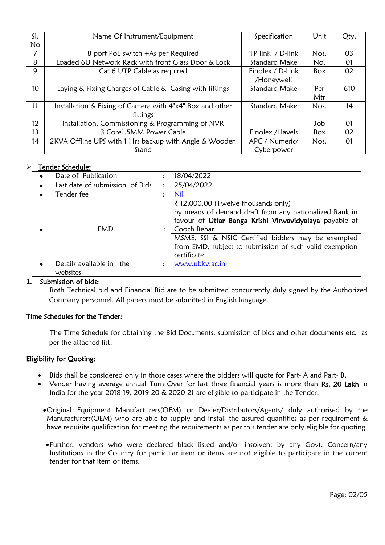| SI.             | Name Of Instrument/Equipment                             | Specification        | Unit | Qty. |
|-----------------|----------------------------------------------------------|----------------------|------|------|
| No              |                                                          |                      |      |      |
| 7               | 8 port PoE switch +As per Required                       | TP link / D-link     | Nos. | 03   |
| 8               | Loaded 6U Network Rack with front Glass Door & Lock      | <b>Standard Make</b> | No.  | 01   |
| 9               | Cat 6 UTP Cable as required                              | Finolex / D-Link     | Box  | 02   |
|                 |                                                          | /Honeywell           |      |      |
| 10 <sup>°</sup> | Laying & Fixing Charges of Cable & Casing with fittings  | <b>Standard Make</b> | Per  | 610  |
|                 |                                                          |                      | Mtr  |      |
| 11              | Installation & Fixing of Camera with 4"x4" Box and other | <b>Standard Make</b> | Nos. | 14   |
|                 | fittings                                                 |                      |      |      |
| 12              | Installation, Commissioning & Programming of NVR         |                      | Job  | 01   |
| 13              | 3 Core1.5MM Power Cable                                  | Finolex / Havels     | Box  | 02   |
| 14              | 2KVA Offline UPS with 1 Hrs backup with Angle & Wooden   | APC / Numeric/       | Nos. | 01   |
|                 | Stand                                                    | Cyberpower           |      |      |

# > Tender Schedule:

| Date of Publication                  |                      | 18/04/2022                                                                                                                                                                                                                                                                                              |
|--------------------------------------|----------------------|---------------------------------------------------------------------------------------------------------------------------------------------------------------------------------------------------------------------------------------------------------------------------------------------------------|
| Last date of submission of Bids      | $\ddot{\phantom{a}}$ | 25/04/2022                                                                                                                                                                                                                                                                                              |
| Tender fee                           |                      | <b>Nil</b>                                                                                                                                                                                                                                                                                              |
| EMD                                  |                      | ₹ 12,000.00 (Twelve thousands only)<br>by means of demand draft from any nationalized Bank in<br>favour of Uttar Banga Krishi Viswavidyalaya payable at<br>Cooch Behar<br>MSME, SSI & NSIC Certified bidders may be exempted<br>from EMD, subject to submission of such valid exemption<br>certificate. |
| Details available in the<br>websites | $\ddot{\phantom{a}}$ | www.ubkv.ac.in                                                                                                                                                                                                                                                                                          |

#### **1.** Submission of bids:

 Both Technical bid and Financial Bid are to be submitted concurrently duly signed by the Authorized Company personnel. All papers must be submitted in English language.

#### Time Schedules for the Tender:

 The Time Schedule for obtaining the Bid Documents, submission of bids and other documents etc. as per the attached list.

#### Eligibility for Quoting:

- Bids shall be considered only in those cases where the bidders will quote for Part- A and Part- B.
- Vender having average annual Turn Over for last three financial years is more than Rs. 20 Lakh in India for the year 2018-19, 2019-20 & 2020-21 are eligible to participate in the Tender.
	- Original Equipment Manufacturers(OEM) or Dealer/Distributors/Agents/ duly authorised by the Manufacturers(OEM) who are able to supply and install the assured quantities as per requirement & have requisite qualification for meeting the requirements as per this tender are only eligible for quoting.
	- Further, vendors who were declared black listed and/or insolvent by any Govt. Concern/any Institutions in the Country for particular item or items are not eligible to participate in the current tender for that item or items.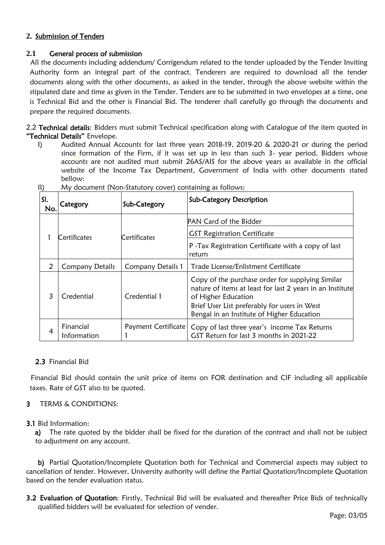# **2.** Submission of Tenders

# **2.1** General process of submission

 All the documents including addendum/ Corrigendum related to the tender uploaded by the Tender Inviting Authority form an integral part of the contract. Tenderers are required to download all the tender documents along with the other documents, as asked in the tender, through the above website within the stipulated date and time as given in the Tender. Tenders are to be submitted in two envelopes at a time, one is Technical Bid and the other is Financial Bid. The tenderer shall carefully go through the documents and prepare the required documents.

2.2 Technical details: Bidders must submit Technical specification along with Catalogue of the item quoted in "Technical Details" Envelope.

I) Audited Annual Accounts for last three years 2018-19, 2019-20 & 2020-21 or during the period since formation of the Firm, if it was set up in less than such 3- year period. Bidders whose accounts are not audited must submit 26AS/AIS for the above years as available in the official website of the Income Tax Department, Government of India with other documents stated bellow:

| SI.<br>No.    | Category                 | Sub-Category             | <b>Sub-Category Description</b>                                                                                                                                                                                                    |
|---------------|--------------------------|--------------------------|------------------------------------------------------------------------------------------------------------------------------------------------------------------------------------------------------------------------------------|
|               | Certificates             |                          | <b>PAN Card of the Bidder</b>                                                                                                                                                                                                      |
|               |                          | Certificates             | <b>GST Registration Certificate</b>                                                                                                                                                                                                |
|               |                          |                          | P - Tax Registration Certificate with a copy of last<br>return                                                                                                                                                                     |
| $\mathcal{L}$ | <b>Company Details</b>   | <b>Company Details 1</b> | Trade License/Enlistment Certificate                                                                                                                                                                                               |
| 3             | Credential               | Credential 1             | Copy of the purchase order for supplying Similar<br>nature of items at least for last 2 years in an Institute<br>of Higher Education<br>Brief User List preferably for users in West<br>Bengal in an Institute of Higher Education |
| 4             | Financial<br>Information | Payment Certificate      | Copy of last three year's income Tax Returns<br>GST Return for last 3 months in 2021-22                                                                                                                                            |

II) My document (Non-Statutory cover) containing as follows:

# 2.3 Financial Bid

Financial Bid should contain the unit price of items on FOR destination and CIF including all applicable taxes. Rate of GST also to be quoted.

# 3 TERMS & CONDITIONS:

# 3.1 Bid Information:

a) The rate quoted by the bidder shall be fixed for the duration of the contract and shall not be subject to adjustment on any account.

b) Partial Quotation/Incomplete Quotation both for Technical and Commercial aspects may subject to cancellation of tender. However, University authority will define the Partial Quotation/Incomplete Quotation based on the tender evaluation status.

3.2 Evaluation of Quotation: Firstly, Technical Bid will be evaluated and thereafter Price Bids of technically qualified bidders will be evaluated for selection of vender.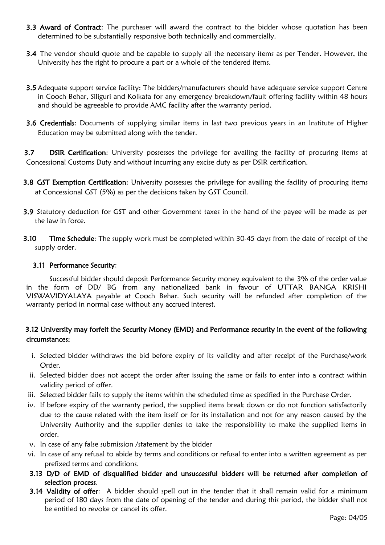- **3.3 Award of Contract:** The purchaser will award the contract to the bidder whose quotation has been determined to be substantially responsive both technically and commercially.
- **3.4** The vendor should quote and be capable to supply all the necessary items as per Tender. However, the University has the right to procure a part or a whole of the tendered items.
- 3.5 Adequate support service facility: The bidders/manufacturers should have adequate service support Centre in Cooch Behar, Siliguri and Kolkata for any emergency breakdown/fault offering facility within 48 hours and should be agreeable to provide AMC facility after the warranty period.
- 3.6 Credentials: Documents of supplying similar items in last two previous years in an Institute of Higher Education may be submitted along with the tender.

3.7 DSIR Certification: University possesses the privilege for availing the facility of procuring items at Concessional Customs Duty and without incurring any excise duty as per DSIR certification.

- 3.8 GST Exemption Certification: University possesses the privilege for availing the facility of procuring items at Concessional GST (5%) as per the decisions taken by GST Council.
- 3.9 Statutory deduction for GST and other Government taxes in the hand of the payee will be made as per the law in force.
- **3.10** Time Schedule: The supply work must be completed within 30-45 days from the date of receipt of the supply order.

### 3.11 Performance Security:

Successful bidder should deposit Performance Security money equivalent to the 3% of the order value in the form of DD/ BG from any nationalized bank in favour of UTTAR BANGA KRISHI VISWAVIDYALAYA payable at Cooch Behar. Such security will be refunded after completion of the warranty period in normal case without any accrued interest.

# 3.12 University may forfeit the Security Money (EMD) and Performance security in the event of the following circumstances:

- i. Selected bidder withdraws the bid before expiry of its validity and after receipt of the Purchase/work Order.
- ii. Selected bidder does not accept the order after issuing the same or fails to enter into a contract within validity period of offer.
- iii. Selected bidder fails to supply the items within the scheduled time as specified in the Purchase Order.
- iv. If before expiry of the warranty period, the supplied items break down or do not function satisfactorily due to the cause related with the item itself or for its installation and not for any reason caused by the University Authority and the supplier denies to take the responsibility to make the supplied items in order.
- v. In case of any false submission /statement by the bidder
- vi. In case of any refusal to abide by terms and conditions or refusal to enter into a written agreement as per prefixed terms and conditions.
- 3.13 D/D of EMD of disqualified bidder and unsuccessful bidders will be returned after completion of selection process.
- 3.14 Validity of offer: A bidder should spell out in the tender that it shall remain valid for a minimum period of 180 days from the date of opening of the tender and during this period, the bidder shall not be entitled to revoke or cancel its offer.